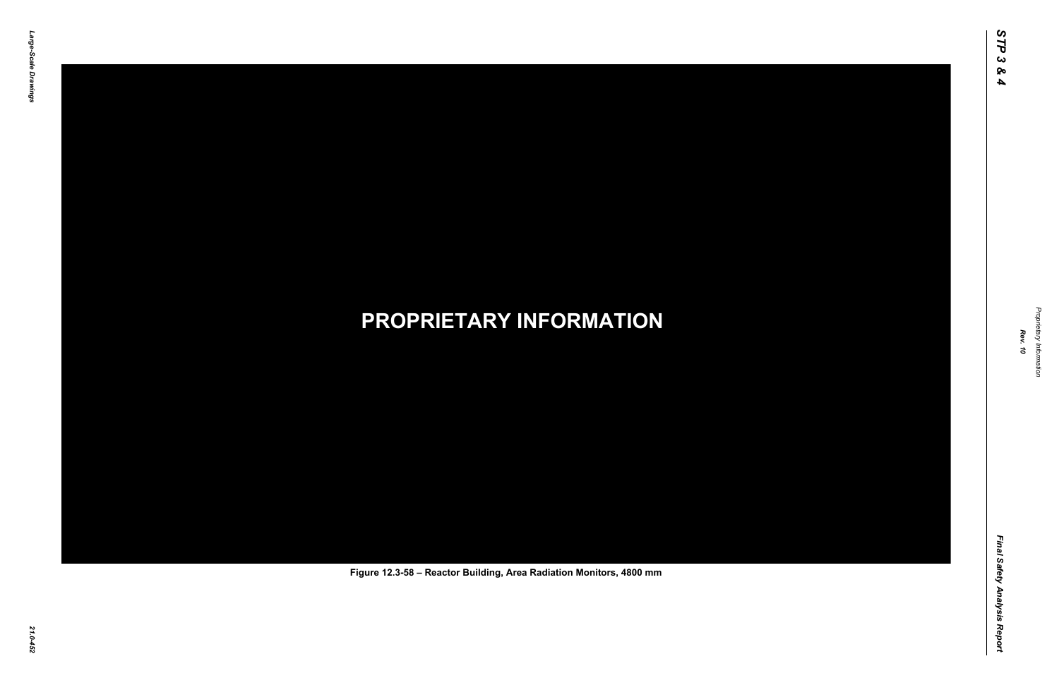Final Safety Analysis Report *Final Safety Analysis Report*



Proprietary Information *Proprietary Information*

#### *21.0-452* **PROPRIETARY INFORMATION Figure 12.3-58 – Reactor Building, Area Radiation Monitors, 4800 mm**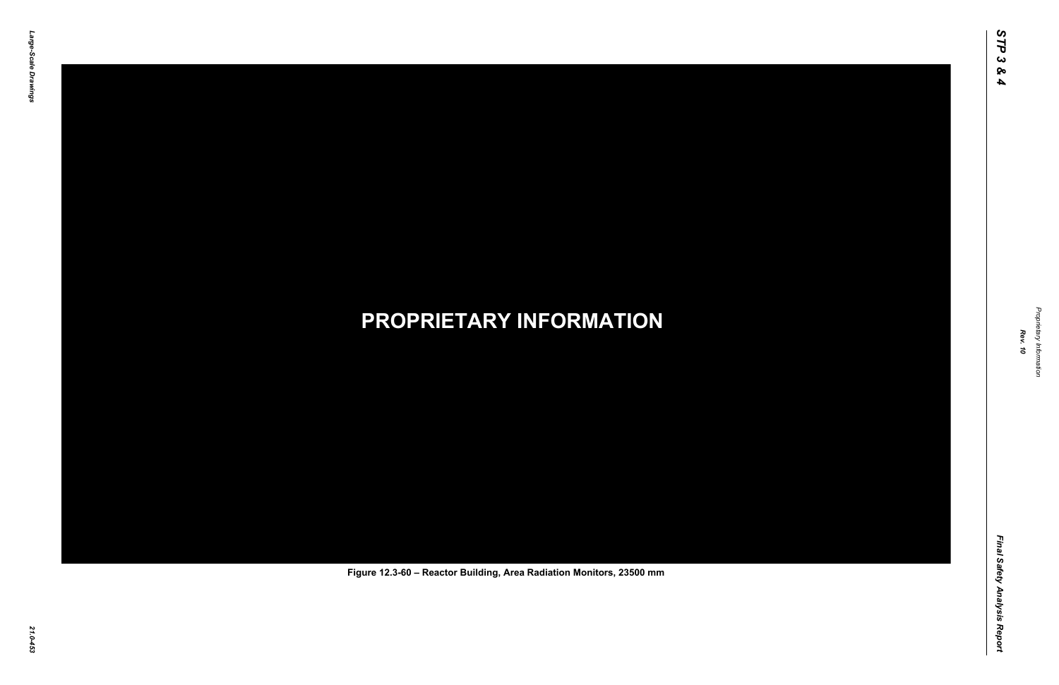Final Safety Analysis Report *Final Safety Analysis Report*



Proprietary Information *Proprietary Information*

#### *21.0-453* **PROPRIETARY INFORMATION Figure 12.3-60 – Reactor Building, Area Radiation Monitors, 23500 mm**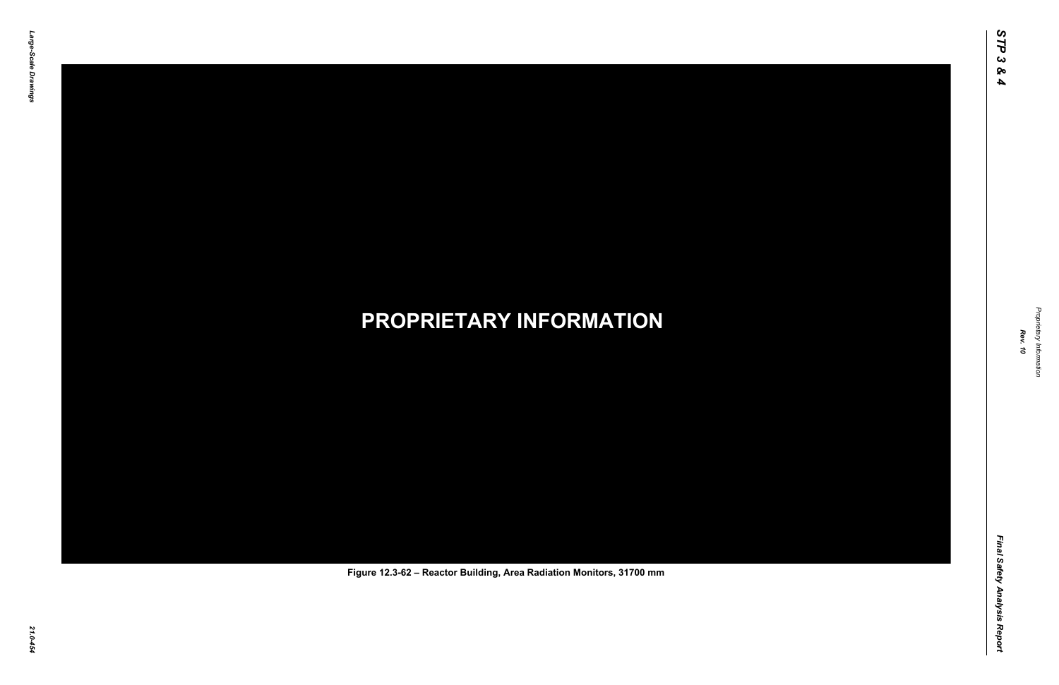Final Safety Analysis Report *Final Safety Analysis Report*



Proprietary Information *Proprietary Information*

#### *21.0-454* **PROPRIETARY INFORMATION Figure 12.3-62 – Reactor Building, Area Radiation Monitors, 31700 mm**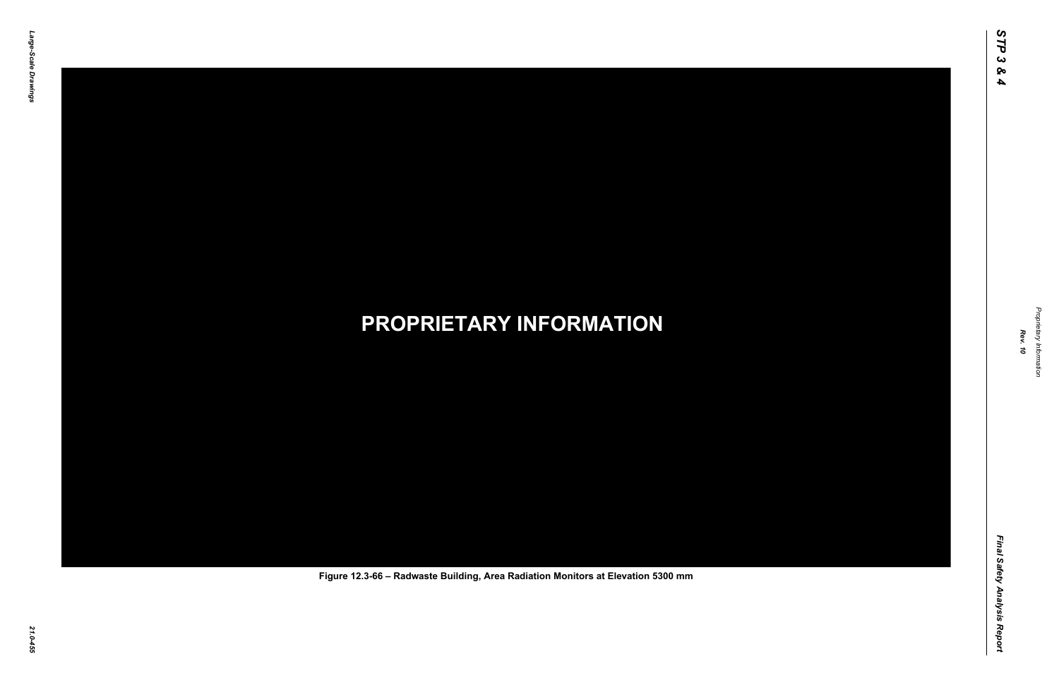Final Safety Analysis Report *Final Safety Analysis Report*



Proprietary Information *Proprietary Information*

#### *21.0-455* **PROPRIETARY INFORMATION Figure 12.3-66 – Radwaste Building, Area Radiation Monitors at Elevation 5300 mm**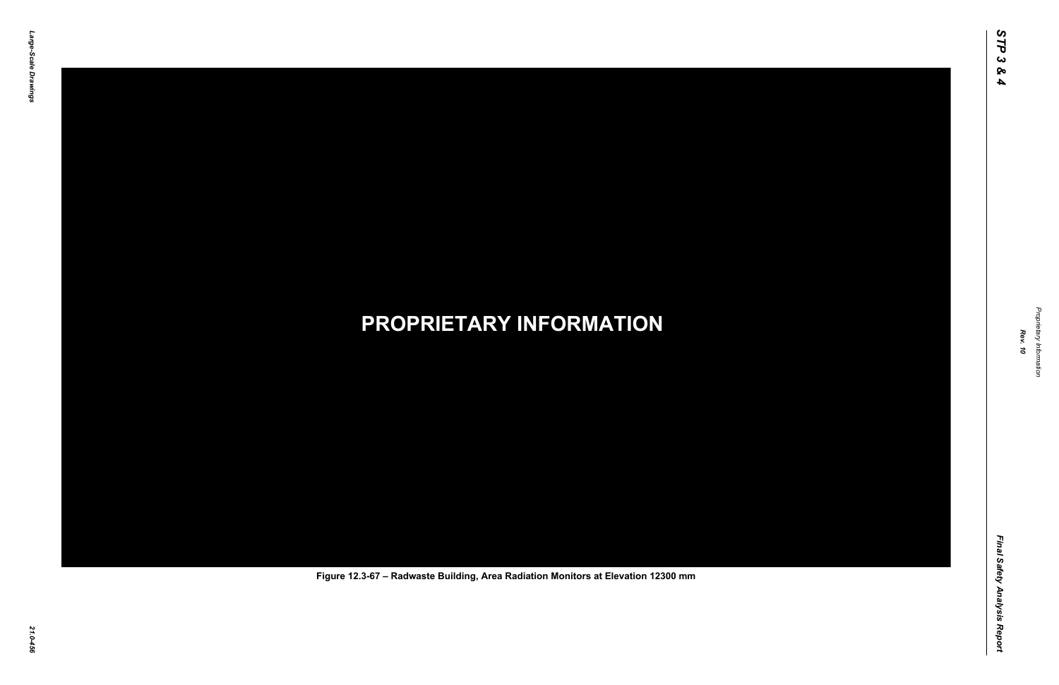Final Safety Analysis Report *Final Safety Analysis Report*



Proprietary Information *Proprietary Information*

#### *21.0-456* **PROPRIETARY INFORMATION Figure 12.3-67 – Radwaste Building, Area Radiation Monitors at Elevation 12300 mm**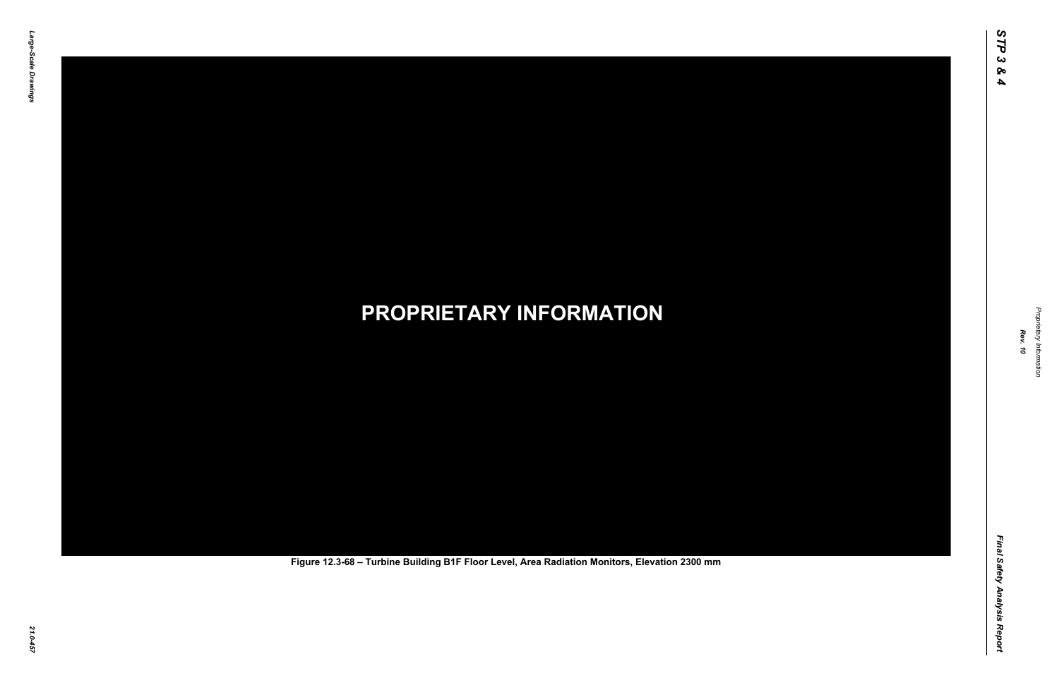Final Safety Analysis Report *Final Safety Analysis Report*



Proprietary Information *Proprietary Information*

# *21.0-457* **PROPRIETARY INFORMATION Figure 12.3-68 – Turbine Building B1F Floor Level, Area Radiation Monitors, Elevation 2300 mm**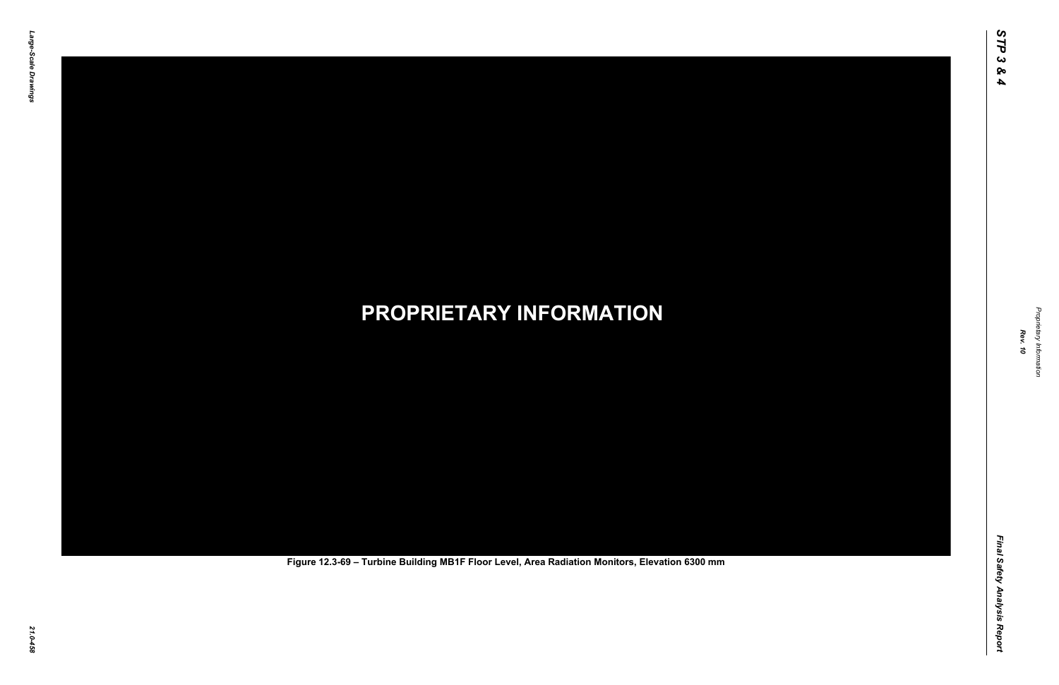Final Safety Analysis Report *Final Safety Analysis Report*



Proprietary Information *Proprietary Information*

# *21.0-458* **PROPRIETARY INFORMATION Figure 12.3-69 – Turbine Building MB1F Floor Level, Area Radiation Monitors, Elevation 6300 mm**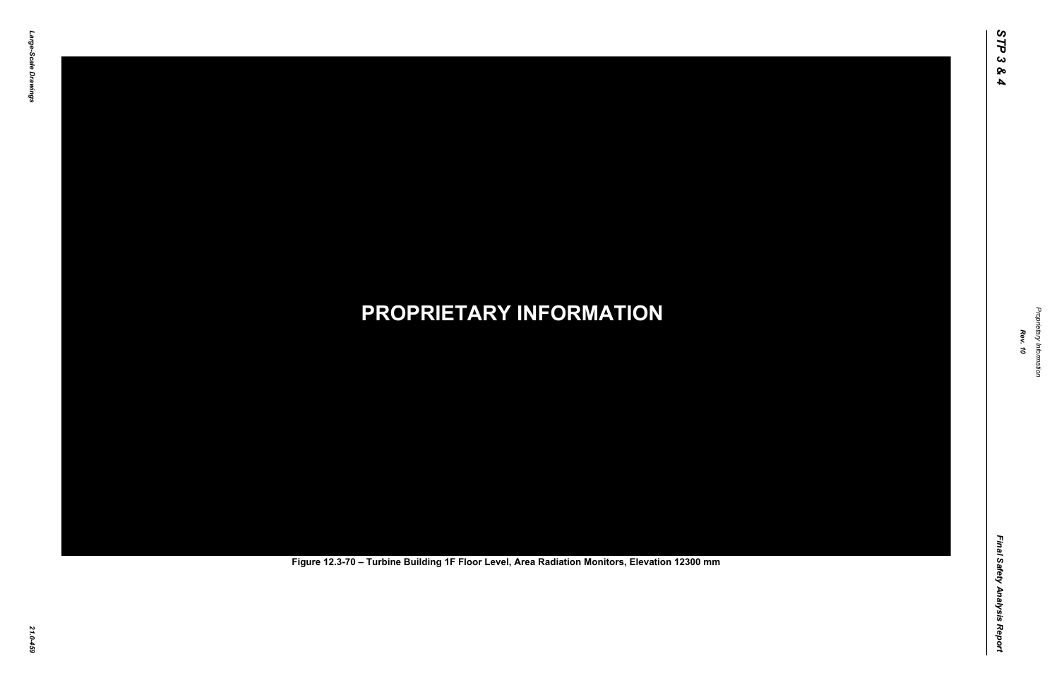Final Safety Analysis Report *Final Safety Analysis Report*



Proprietary Information *Proprietary Information*

# *21.0-459* **PROPRIETARY INFORMATION Figure 12.3-70 – Turbine Building 1F Floor Level, Area Radiation Monitors, Elevation 12300 mm**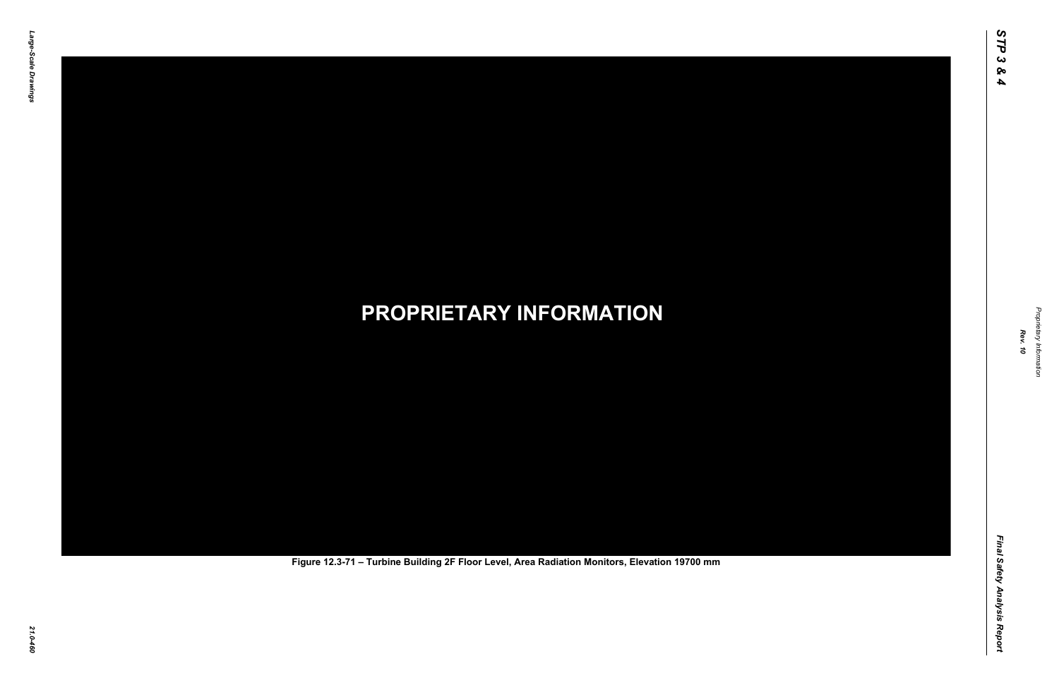Final Safety Analysis Report *Final Safety Analysis Report*



Proprietary Information *Proprietary Information*

# *21.0-460* **PROPRIETARY INFORMATION Figure 12.3-71 – Turbine Building 2F Floor Level, Area Radiation Monitors, Elevation 19700 mm**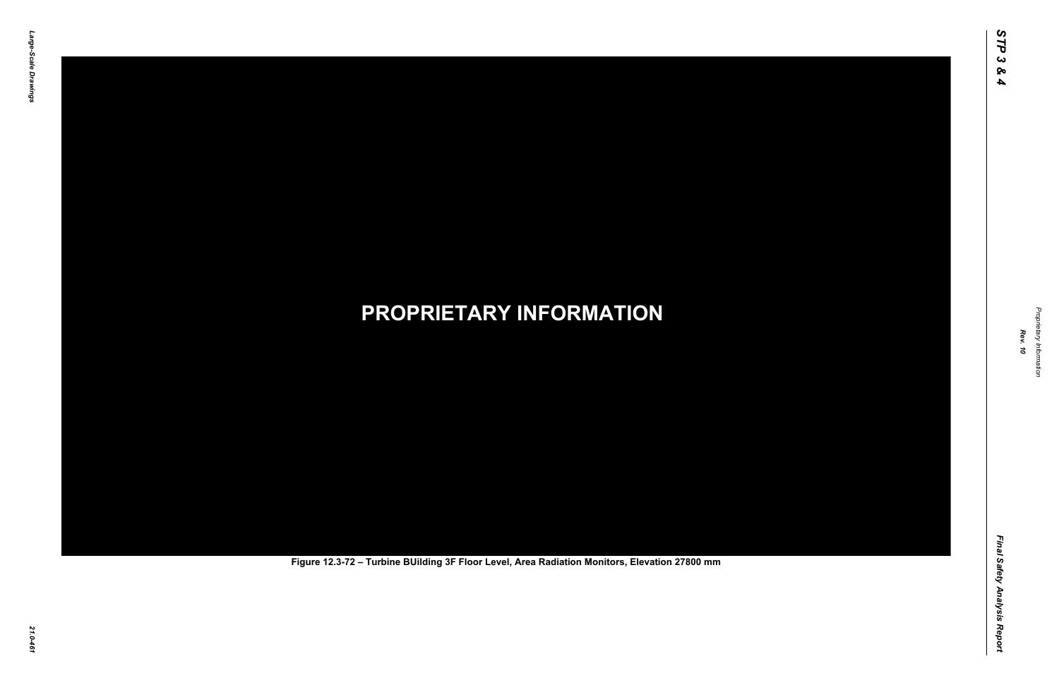Final Safety Analysis Report *Final Safety Analysis Report*



Proprietary Information *Proprietary Information*

# *21.0-461* **PROPRIETARY INFORMATION Figure 12.3-72 – Turbine BUilding 3F Floor Level, Area Radiation Monitors, Elevation 27800 mm**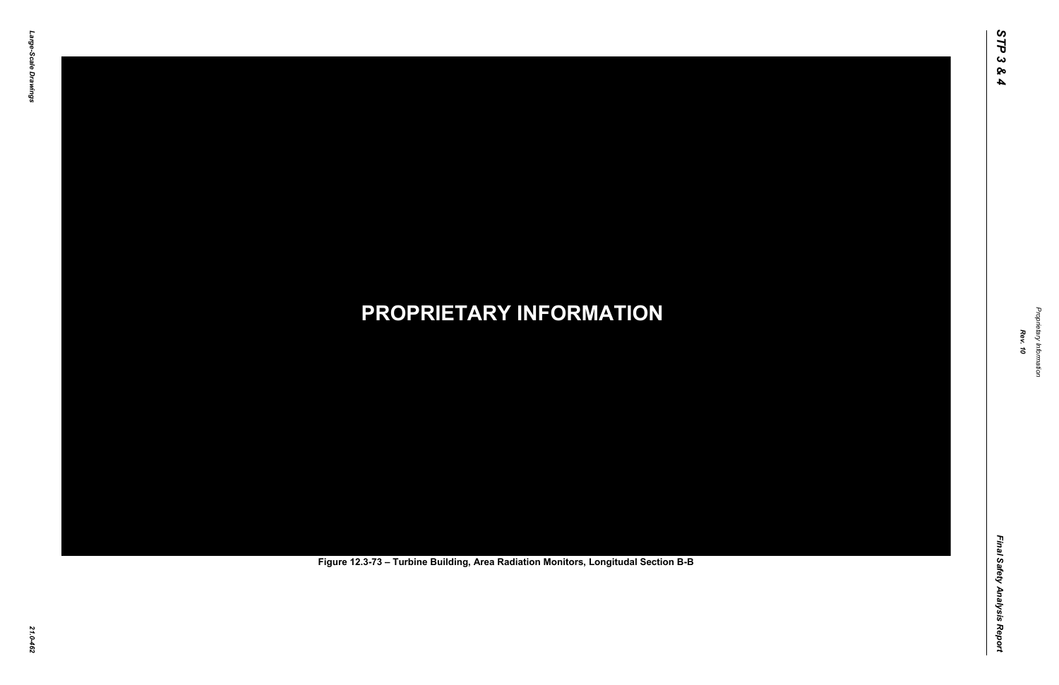Final Safety Analysis Report *Final Safety Analysis Report*



Proprietary Information *Proprietary Information*

# *21.0-462* **PROPRIETARY INFORMATION Figure 12.3-73 – Turbine Building, Area Radiation Monitors, Longitudal Section B-B**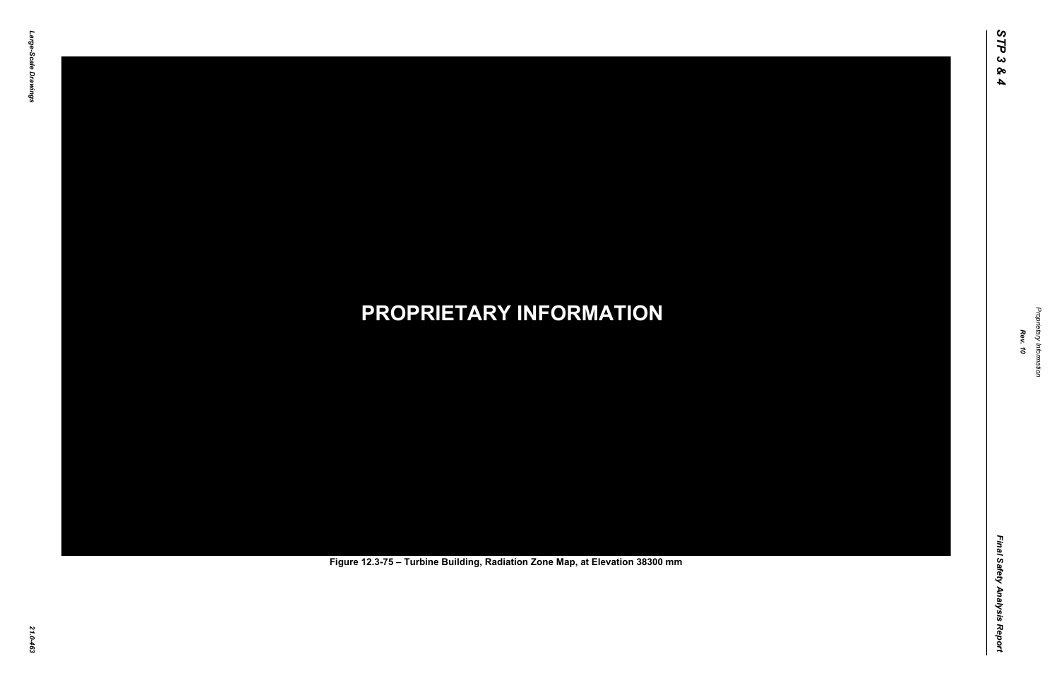Final Safety Analysis Report *Final Safety Analysis Report*



Proprietary Information *Proprietary Information*

# *21.0-463* **PROPRIETARY INFORMATION Figure 12.3-75 – Turbine Building, Radiation Zone Map, at Elevation 38300 mm**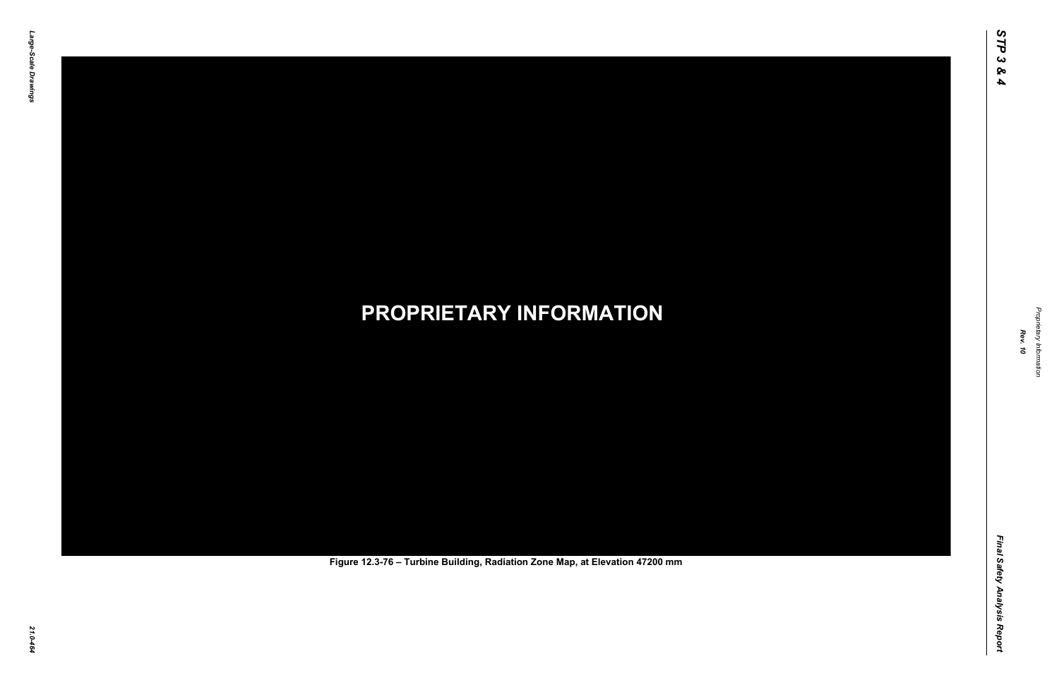Final Safety Analysis Report *Final Safety Analysis Report*



Proprietary Information *Proprietary Information*

# *21.0-464* **PROPRIETARY INFORMATION Figure 12.3-76 – Turbine Building, Radiation Zone Map, at Elevation 47200 mm**